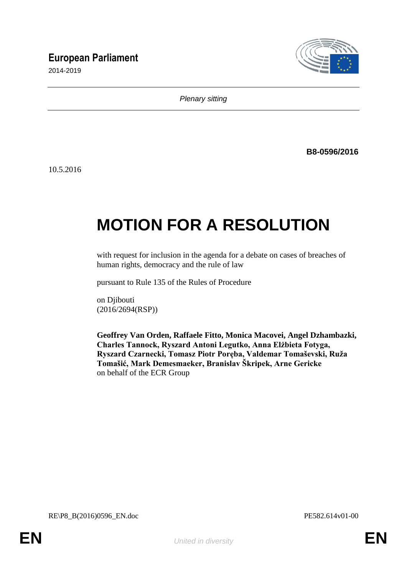# **European Parliament**

2014-2019



*Plenary sitting*

**B8-0596/2016**

10.5.2016

# **MOTION FOR A RESOLUTION**

with request for inclusion in the agenda for a debate on cases of breaches of human rights, democracy and the rule of law

pursuant to Rule 135 of the Rules of Procedure

on Djibouti (2016/2694(RSP))

**Geoffrey Van Orden, Raffaele Fitto, Monica Macovei, Angel Dzhambazki, Charles Tannock, Ryszard Antoni Legutko, Anna Elżbieta Fotyga, Ryszard Czarnecki, Tomasz Piotr Poręba, Valdemar Tomaševski, Ruža Tomašić, Mark Demesmaeker, Branislav Škripek, Arne Gericke** on behalf of the ECR Group

RE\P8\_B(2016)0596\_EN.doc PE582.614v01-00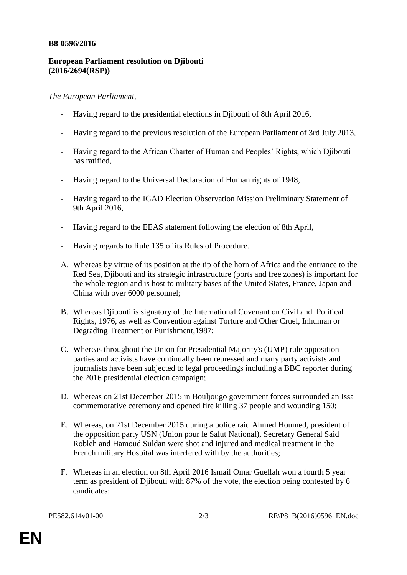### **B8-0596/2016**

## **European Parliament resolution on Djibouti (2016/2694(RSP))**

## *The European Parliament*,

- Having regard to the presidential elections in Djibouti of 8th April 2016,
- Having regard to the previous resolution of the European Parliament of 3rd July 2013,
- Having regard to the African Charter of Human and Peoples' Rights, which Djibouti has ratified,
- Having regard to the Universal Declaration of Human rights of 1948,
- Having regard to the IGAD Election Observation Mission Preliminary Statement of 9th April 2016,
- Having regard to the EEAS statement following the election of 8th April,
- Having regards to Rule 135 of its Rules of Procedure.
- A. Whereas by virtue of its position at the tip of the horn of Africa and the entrance to the Red Sea, Djibouti and its strategic infrastructure (ports and free zones) is important for the whole region and is host to military bases of the United States, France, Japan and China with over 6000 personnel;
- B. Whereas Djibouti is signatory of the International Covenant on Civil and Political Rights, 1976, as well as Convention against Torture and Other Cruel, Inhuman or Degrading Treatment or Punishment,1987;
- C. Whereas throughout the Union for Presidential Majority's (UMP) rule opposition parties and activists have continually been repressed and many party activists and journalists have been subjected to legal proceedings including a BBC reporter during the 2016 presidential election campaign;
- D. Whereas on 21st December 2015 in Bouljougo government forces surrounded an Issa commemorative ceremony and opened fire killing 37 people and wounding 150;
- E. Whereas, on 21st December 2015 during a police raid Ahmed Houmed, president of the opposition party USN (Union pour le Salut National), Secretary General Said Robleh and Hamoud Suldan were shot and injured and medical treatment in the French military Hospital was interfered with by the authorities;
- F. Whereas in an election on 8th April 2016 Ismail Omar Guellah won a fourth 5 year term as president of Djibouti with 87% of the vote, the election being contested by 6 candidates;